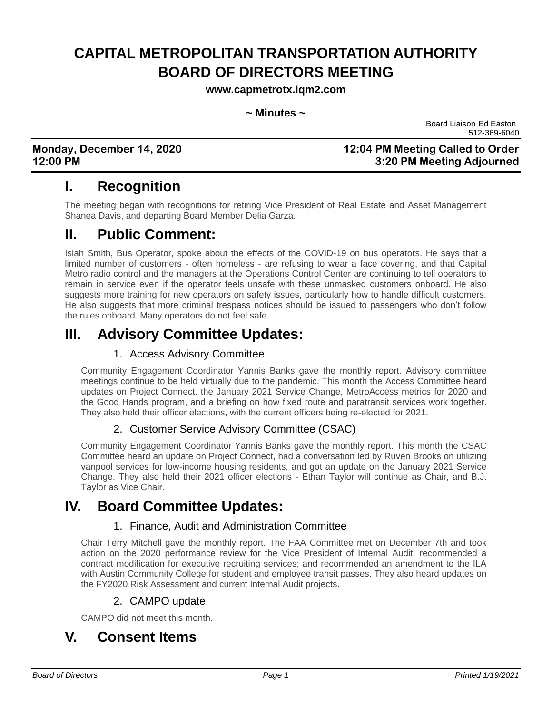# **CAPITAL METROPOLITAN TRANSPORTATION AUTHORITY BOARD OF DIRECTORS MEETING**

**www.capmetrotx.iqm2.com**

#### **~ Minutes ~**

Board Liaison Ed Easton 512-369-6040

### **Monday, December 14, 2020 12:04 PM Meeting Called to Order 12:00 PM 3:20 PM Meeting Adjourned**

# **I. Recognition**

The meeting began with recognitions for retiring Vice President of Real Estate and Asset Management Shanea Davis, and departing Board Member Delia Garza.

### **II. Public Comment:**

Isiah Smith, Bus Operator, spoke about the effects of the COVID-19 on bus operators. He says that a limited number of customers - often homeless - are refusing to wear a face covering, and that Capital Metro radio control and the managers at the Operations Control Center are continuing to tell operators to remain in service even if the operator feels unsafe with these unmasked customers onboard. He also suggests more training for new operators on safety issues, particularly how to handle difficult customers. He also suggests that more criminal trespass notices should be issued to passengers who don't follow the rules onboard. Many operators do not feel safe.

# **III. Advisory Committee Updates:**

### 1. Access Advisory Committee

Community Engagement Coordinator Yannis Banks gave the monthly report. Advisory committee meetings continue to be held virtually due to the pandemic. This month the Access Committee heard updates on Project Connect, the January 2021 Service Change, MetroAccess metrics for 2020 and the Good Hands program, and a briefing on how fixed route and paratransit services work together. They also held their officer elections, with the current officers being re-elected for 2021.

### 2. Customer Service Advisory Committee (CSAC)

Community Engagement Coordinator Yannis Banks gave the monthly report. This month the CSAC Committee heard an update on Project Connect, had a conversation led by Ruven Brooks on utilizing vanpool services for low-income housing residents, and got an update on the January 2021 Service Change. They also held their 2021 officer elections - Ethan Taylor will continue as Chair, and B.J. Taylor as Vice Chair.

# **IV. Board Committee Updates:**

### 1. Finance, Audit and Administration Committee

Chair Terry Mitchell gave the monthly report. The FAA Committee met on December 7th and took action on the 2020 performance review for the Vice President of Internal Audit; recommended a contract modification for executive recruiting services; and recommended an amendment to the ILA with Austin Community College for student and employee transit passes. They also heard updates on the FY2020 Risk Assessment and current Internal Audit projects.

### 2. CAMPO update

CAMPO did not meet this month.

# **V. Consent Items**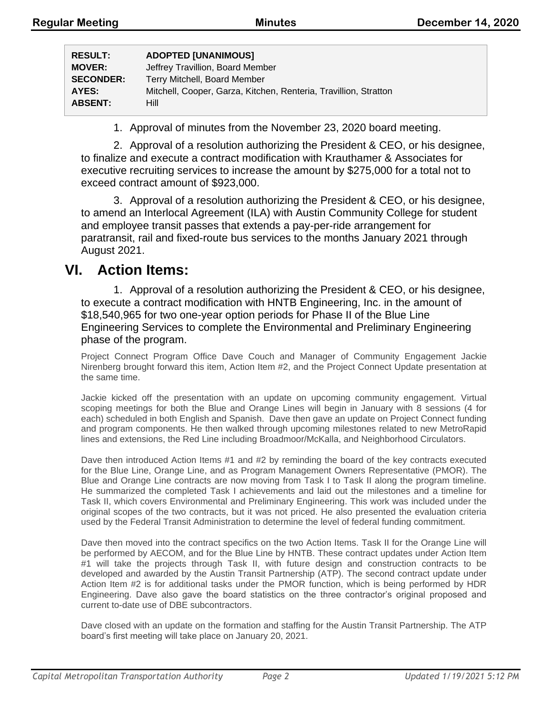| <b>ADOPTED [UNANIMOUS]</b>                                       |
|------------------------------------------------------------------|
| Jeffrey Travillion, Board Member                                 |
| Terry Mitchell, Board Member                                     |
| Mitchell, Cooper, Garza, Kitchen, Renteria, Travillion, Stratton |
| Hill                                                             |
|                                                                  |

1. Approval of minutes from the November 23, 2020 board meeting.

2. Approval of a resolution authorizing the President & CEO, or his designee, to finalize and execute a contract modification with Krauthamer & Associates for executive recruiting services to increase the amount by \$275,000 for a total not to exceed contract amount of \$923,000.

3. Approval of a resolution authorizing the President & CEO, or his designee, to amend an Interlocal Agreement (ILA) with Austin Community College for student and employee transit passes that extends a pay-per-ride arrangement for paratransit, rail and fixed-route bus services to the months January 2021 through August 2021.

### **VI. Action Items:**

1. Approval of a resolution authorizing the President & CEO, or his designee, to execute a contract modification with HNTB Engineering, Inc. in the amount of \$18,540,965 for two one-year option periods for Phase II of the Blue Line Engineering Services to complete the Environmental and Preliminary Engineering phase of the program.

Project Connect Program Office Dave Couch and Manager of Community Engagement Jackie Nirenberg brought forward this item, Action Item #2, and the Project Connect Update presentation at the same time.

Jackie kicked off the presentation with an update on upcoming community engagement. Virtual scoping meetings for both the Blue and Orange Lines will begin in January with 8 sessions (4 for each) scheduled in both English and Spanish. Dave then gave an update on Project Connect funding and program components. He then walked through upcoming milestones related to new MetroRapid lines and extensions, the Red Line including Broadmoor/McKalla, and Neighborhood Circulators.

Dave then introduced Action Items #1 and #2 by reminding the board of the key contracts executed for the Blue Line, Orange Line, and as Program Management Owners Representative (PMOR). The Blue and Orange Line contracts are now moving from Task I to Task II along the program timeline. He summarized the completed Task I achievements and laid out the milestones and a timeline for Task II, which covers Environmental and Preliminary Engineering. This work was included under the original scopes of the two contracts, but it was not priced. He also presented the evaluation criteria used by the Federal Transit Administration to determine the level of federal funding commitment.

Dave then moved into the contract specifics on the two Action Items. Task II for the Orange Line will be performed by AECOM, and for the Blue Line by HNTB. These contract updates under Action Item #1 will take the projects through Task II, with future design and construction contracts to be developed and awarded by the Austin Transit Partnership (ATP). The second contract update under Action Item #2 is for additional tasks under the PMOR function, which is being performed by HDR Engineering. Dave also gave the board statistics on the three contractor's original proposed and current to-date use of DBE subcontractors.

Dave closed with an update on the formation and staffing for the Austin Transit Partnership. The ATP board's first meeting will take place on January 20, 2021.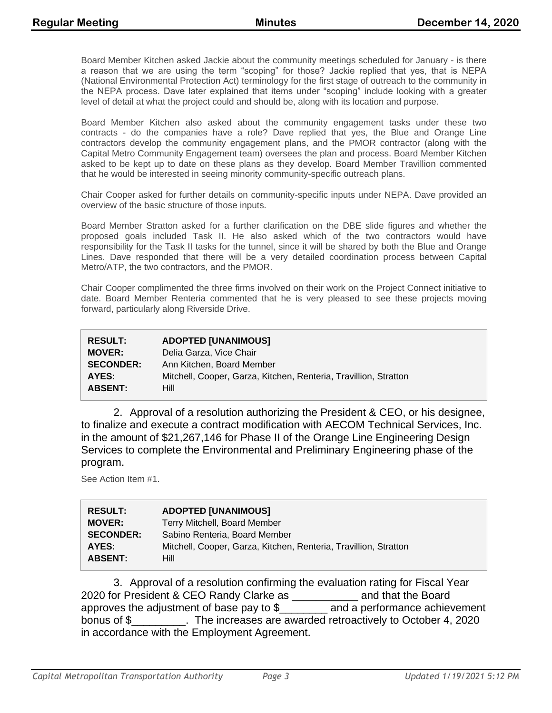Board Member Kitchen asked Jackie about the community meetings scheduled for January - is there a reason that we are using the term "scoping" for those? Jackie replied that yes, that is NEPA (National Environmental Protection Act) terminology for the first stage of outreach to the community in the NEPA process. Dave later explained that items under "scoping" include looking with a greater level of detail at what the project could and should be, along with its location and purpose.

Board Member Kitchen also asked about the community engagement tasks under these two contracts - do the companies have a role? Dave replied that yes, the Blue and Orange Line contractors develop the community engagement plans, and the PMOR contractor (along with the Capital Metro Community Engagement team) oversees the plan and process. Board Member Kitchen asked to be kept up to date on these plans as they develop. Board Member Travillion commented that he would be interested in seeing minority community-specific outreach plans.

Chair Cooper asked for further details on community-specific inputs under NEPA. Dave provided an overview of the basic structure of those inputs.

Board Member Stratton asked for a further clarification on the DBE slide figures and whether the proposed goals included Task II. He also asked which of the two contractors would have responsibility for the Task II tasks for the tunnel, since it will be shared by both the Blue and Orange Lines. Dave responded that there will be a very detailed coordination process between Capital Metro/ATP, the two contractors, and the PMOR.

Chair Cooper complimented the three firms involved on their work on the Project Connect initiative to date. Board Member Renteria commented that he is very pleased to see these projects moving forward, particularly along Riverside Drive.

| <b>RESULT:</b>   | <b>ADOPTED [UNANIMOUS]</b>                                       |
|------------------|------------------------------------------------------------------|
| <b>MOVER:</b>    | Delia Garza, Vice Chair                                          |
| <b>SECONDER:</b> | Ann Kitchen, Board Member                                        |
| AYES:            | Mitchell, Cooper, Garza, Kitchen, Renteria, Travillion, Stratton |
| <b>ABSENT:</b>   | Hill                                                             |

2. Approval of a resolution authorizing the President & CEO, or his designee, to finalize and execute a contract modification with AECOM Technical Services, Inc. in the amount of \$21,267,146 for Phase II of the Orange Line Engineering Design Services to complete the Environmental and Preliminary Engineering phase of the program.

See Action Item #1.

| <b>RESULT:</b>   | <b>ADOPTED [UNANIMOUS]</b>                                       |
|------------------|------------------------------------------------------------------|
| <b>MOVER:</b>    | Terry Mitchell, Board Member                                     |
| <b>SECONDER:</b> | Sabino Renteria, Board Member                                    |
| AYES:            | Mitchell, Cooper, Garza, Kitchen, Renteria, Travillion, Stratton |
| <b>ABSENT:</b>   | Hill                                                             |

3. Approval of a resolution confirming the evaluation rating for Fiscal Year 2020 for President & CEO Randy Clarke as \_\_\_\_\_\_\_\_\_\_\_ and that the Board approves the adjustment of base pay to \$\_\_\_\_\_\_\_\_ and a performance achievement bonus of \$ The increases are awarded retroactively to October 4, 2020 in accordance with the Employment Agreement.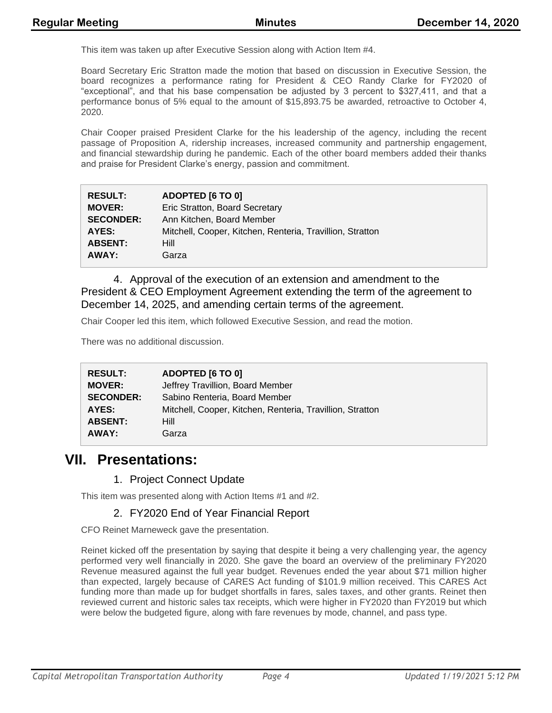This item was taken up after Executive Session along with Action Item #4.

Board Secretary Eric Stratton made the motion that based on discussion in Executive Session, the board recognizes a performance rating for President & CEO Randy Clarke for FY2020 of "exceptional", and that his base compensation be adjusted by 3 percent to \$327,411, and that a performance bonus of 5% equal to the amount of \$15,893.75 be awarded, retroactive to October 4, 2020.

Chair Cooper praised President Clarke for the his leadership of the agency, including the recent passage of Proposition A, ridership increases, increased community and partnership engagement, and financial stewardship during he pandemic. Each of the other board members added their thanks and praise for President Clarke's energy, passion and commitment.

| <b>RESULT:</b>   | ADOPTED [6 TO 0]                                          |
|------------------|-----------------------------------------------------------|
| <b>MOVER:</b>    | Eric Stratton, Board Secretary                            |
| <b>SECONDER:</b> | Ann Kitchen, Board Member                                 |
| AYES:            | Mitchell, Cooper, Kitchen, Renteria, Travillion, Stratton |
| <b>ABSENT:</b>   | Hill                                                      |
| AWAY:            | Garza                                                     |

4. Approval of the execution of an extension and amendment to the President & CEO Employment Agreement extending the term of the agreement to December 14, 2025, and amending certain terms of the agreement.

Chair Cooper led this item, which followed Executive Session, and read the motion.

There was no additional discussion.

| <b>RESULT:</b>   | ADOPTED [6 TO 0]                                          |
|------------------|-----------------------------------------------------------|
| <b>MOVER:</b>    | Jeffrey Travillion, Board Member                          |
| <b>SECONDER:</b> | Sabino Renteria, Board Member                             |
| AYES:            | Mitchell, Cooper, Kitchen, Renteria, Travillion, Stratton |
| <b>ABSENT:</b>   | Hill                                                      |
| AWAY:            | Garza                                                     |

### **VII. Presentations:**

#### 1. Project Connect Update

This item was presented along with Action Items #1 and #2.

#### 2. FY2020 End of Year Financial Report

CFO Reinet Marneweck gave the presentation.

Reinet kicked off the presentation by saying that despite it being a very challenging year, the agency performed very well financially in 2020. She gave the board an overview of the preliminary FY2020 Revenue measured against the full year budget. Revenues ended the year about \$71 million higher than expected, largely because of CARES Act funding of \$101.9 million received. This CARES Act funding more than made up for budget shortfalls in fares, sales taxes, and other grants. Reinet then reviewed current and historic sales tax receipts, which were higher in FY2020 than FY2019 but which were below the budgeted figure, along with fare revenues by mode, channel, and pass type.